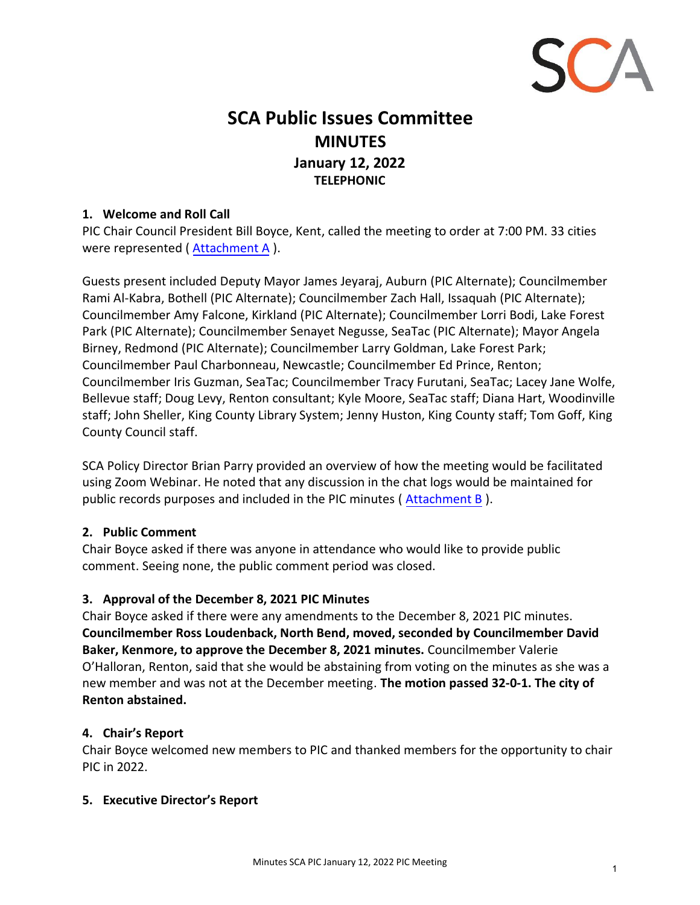

# **SCA Public Issues Committee MINUTES January 12, 2022 TELEPHONIC**

## **1. Welcome and Roll Call**

PIC Chair Council President Bill Boyce, Kent, called the meeting to order at 7:00 PM. 33 cities were represented ( Attachment A ).

Guests present included Deputy Mayor James Jeyaraj, Auburn (PIC Alternate); Councilmember Rami Al-Kabra, Bothell (PIC Alternate); Councilmember Zach Hall, Issaquah (PIC Alternate); Councilmember Amy Falcone, Kirkland (PIC Alternate); Councilmember Lorri Bodi, Lake Forest Park (PIC Alternate); Councilmember Senayet Negusse, SeaTac (PIC Alternate); Mayor Angela Birney, Redmond (PIC Alternate); Councilmember Larry Goldman, Lake Forest Park; Councilmember Paul Charbonneau, Newcastle; Councilmember Ed Prince, Renton; Councilmember Iris Guzman, SeaTac; Councilmember Tracy Furutani, SeaTac; Lacey Jane Wolfe, Bellevue staff; Doug Levy, Renton consultant; Kyle Moore, SeaTac staff; Diana Hart, Woodinville staff; John Sheller, King County Library System; Jenny Huston, King County staff; Tom Goff, King County Council staff.

SCA Policy Director Brian Parry provided an overview of how the meeting would be facilitated using Zoom Webinar. He noted that any discussion in the chat logs would be maintained for public records purposes and included in the PIC minutes ( Attachment B ).

### **2. Public Comment**

Chair Boyce asked if there was anyone in attendance who would like to provide public comment. Seeing none, the public comment period was closed.

### **3. Approval of the December 8, 2021 PIC Minutes**

Chair Boyce asked if there were any amendments to the December 8, 2021 PIC minutes. **Councilmember Ross Loudenback, North Bend, moved, seconded by Councilmember David Baker, Kenmore, to approve the December 8, 2021 minutes.** Councilmember Valerie O'Halloran, Renton, said that she would be abstaining from voting on the minutes as she was a new member and was not at the December meeting. **The motion passed 32-0-1. The city of Renton abstained.**

### **4. Chair's Report**

Chair Boyce welcomed new members to PIC and thanked members for the opportunity to chair PIC in 2022.

### **5. Executive Director's Report**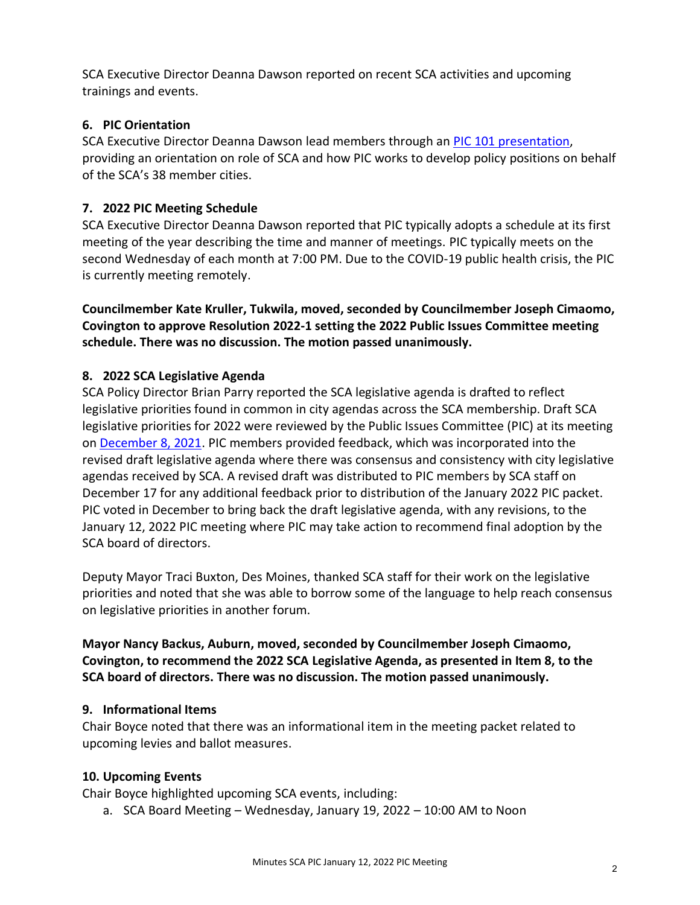SCA Executive Director Deanna Dawson reported on recent SCA activities and upcoming trainings and events.

## **6. PIC Orientation**

SCA Executive Director Deanna Dawson lead members through an [PIC 101 presentation,](http://soundcities.org/wp-content/uploads/2022/02/2022-PIC-101.pdf) providing an orientation on role of SCA and how PIC works to develop policy positions on behalf of the SCA's 38 member cities.

# **7. 2022 PIC Meeting Schedule**

SCA Executive Director Deanna Dawson reported that PIC typically adopts a schedule at its first meeting of the year describing the time and manner of meetings. PIC typically meets on the second Wednesday of each month at 7:00 PM. Due to the COVID-19 public health crisis, the PIC is currently meeting remotely.

**Councilmember Kate Kruller, Tukwila, moved, seconded by Councilmember Joseph Cimaomo, Covington to approve Resolution 2022-1 setting the 2022 Public Issues Committee meeting schedule. There was no discussion. The motion passed unanimously.** 

## **8. 2022 SCA Legislative Agenda**

SCA Policy Director Brian Parry reported the SCA legislative agenda is drafted to reflect legislative priorities found in common in city agendas across the SCA membership. Draft SCA legislative priorities for 2022 were reviewed by the Public Issues Committee (PIC) at its meeting on [December 8, 2021.](http://soundcities.org/wp-content/uploads/2021/12/December-8-2021-SCA-PIC-Packet.pdf#page=24) PIC members provided feedback, which was incorporated into the revised draft legislative agenda where there was consensus and consistency with city legislative agendas received by SCA. A revised draft was distributed to PIC members by SCA staff on December 17 for any additional feedback prior to distribution of the January 2022 PIC packet. PIC voted in December to bring back the draft legislative agenda, with any revisions, to the January 12, 2022 PIC meeting where PIC may take action to recommend final adoption by the SCA board of directors.

Deputy Mayor Traci Buxton, Des Moines, thanked SCA staff for their work on the legislative priorities and noted that she was able to borrow some of the language to help reach consensus on legislative priorities in another forum.

**Mayor Nancy Backus, Auburn, moved, seconded by Councilmember Joseph Cimaomo, Covington, to recommend the 2022 SCA Legislative Agenda, as presented in Item 8, to the SCA board of directors. There was no discussion. The motion passed unanimously.**

## **9. Informational Items**

Chair Boyce noted that there was an informational item in the meeting packet related to upcoming levies and ballot measures.

## **10. Upcoming Events**

Chair Boyce highlighted upcoming SCA events, including:

a. SCA Board Meeting – Wednesday, January 19, 2022 – 10:00 AM to Noon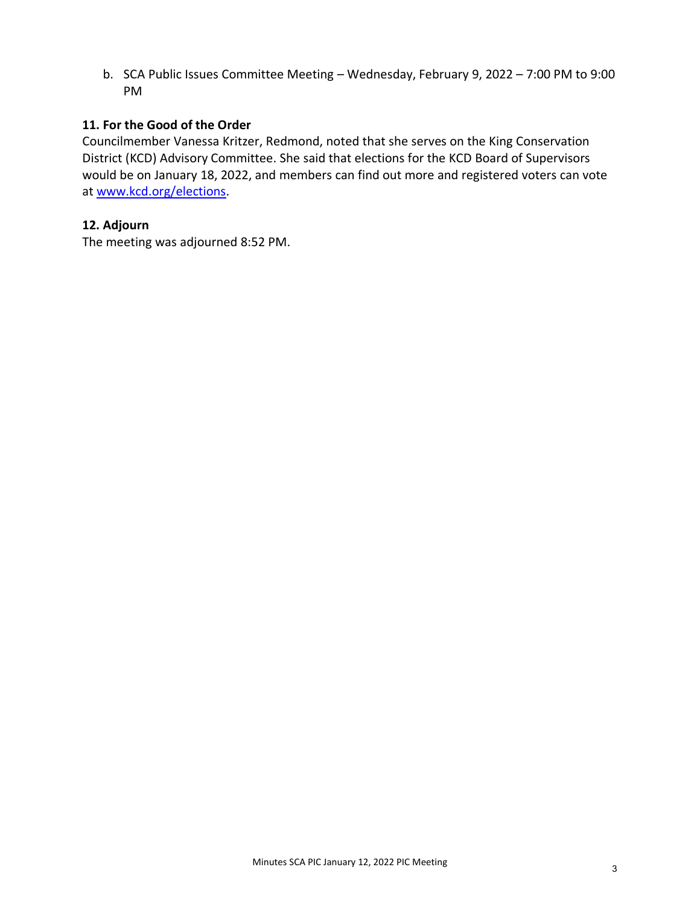b. SCA Public Issues Committee Meeting – Wednesday, February 9, 2022 – 7:00 PM to 9:00 PM

## **11. For the Good of the Order**

Councilmember Vanessa Kritzer, Redmond, noted that she serves on the King Conservation District (KCD) Advisory Committee. She said that elections for the KCD Board of Supervisors would be on January 18, 2022, and members can find out more and registered voters can vote at [www.kcd.org/elections.](http://www.kcd.org/elections)

## **12. Adjourn**

The meeting was adjourned 8:52 PM.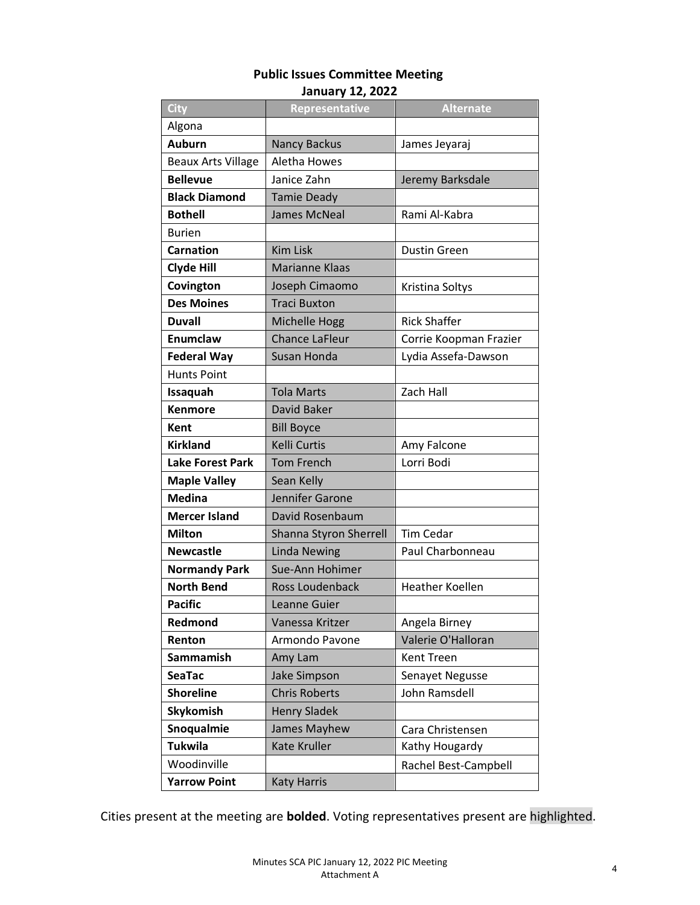#### **Public Issues Committee Meeting January 12, 2022**

| City                      | Representative         | <b>Alternate</b>       |
|---------------------------|------------------------|------------------------|
| Algona                    |                        |                        |
| <b>Auburn</b>             | <b>Nancy Backus</b>    | James Jeyaraj          |
| <b>Beaux Arts Village</b> | Aletha Howes           |                        |
| <b>Bellevue</b>           | Janice Zahn            | Jeremy Barksdale       |
| <b>Black Diamond</b>      | <b>Tamie Deady</b>     |                        |
| <b>Bothell</b>            | <b>James McNeal</b>    | Rami Al-Kabra          |
| <b>Burien</b>             |                        |                        |
| <b>Carnation</b>          | <b>Kim Lisk</b>        | <b>Dustin Green</b>    |
| <b>Clyde Hill</b>         | <b>Marianne Klaas</b>  |                        |
| Covington                 | Joseph Cimaomo         | Kristina Soltys        |
| <b>Des Moines</b>         | <b>Traci Buxton</b>    |                        |
| <b>Duvall</b>             | Michelle Hogg          | <b>Rick Shaffer</b>    |
| Enumclaw                  | <b>Chance LaFleur</b>  | Corrie Koopman Frazier |
| <b>Federal Way</b>        | Susan Honda            | Lydia Assefa-Dawson    |
| <b>Hunts Point</b>        |                        |                        |
| Issaquah                  | <b>Tola Marts</b>      | Zach Hall              |
| <b>Kenmore</b>            | David Baker            |                        |
| <b>Kent</b>               | <b>Bill Boyce</b>      |                        |
| <b>Kirkland</b>           | <b>Kelli Curtis</b>    | Amy Falcone            |
| <b>Lake Forest Park</b>   | <b>Tom French</b>      | Lorri Bodi             |
| <b>Maple Valley</b>       | Sean Kelly             |                        |
| <b>Medina</b>             | Jennifer Garone        |                        |
| <b>Mercer Island</b>      | David Rosenbaum        |                        |
| <b>Milton</b>             | Shanna Styron Sherrell | <b>Tim Cedar</b>       |
| <b>Newcastle</b>          | <b>Linda Newing</b>    | Paul Charbonneau       |
| <b>Normandy Park</b>      | Sue-Ann Hohimer        |                        |
| <b>North Bend</b>         | Ross Loudenback        | <b>Heather Koellen</b> |
| <b>Pacific</b>            | Leanne Guier           |                        |
| Redmond                   | Vanessa Kritzer        | Angela Birney          |
| Renton                    | Armondo Pavone         | Valerie O'Halloran     |
| <b>Sammamish</b>          | Amy Lam                | Kent Treen             |
| <b>SeaTac</b>             | Jake Simpson           | Senayet Negusse        |
| <b>Shoreline</b>          | <b>Chris Roberts</b>   | John Ramsdell          |
| <b>Skykomish</b>          | <b>Henry Sladek</b>    |                        |
| Snoqualmie                | James Mayhew           | Cara Christensen       |
| <b>Tukwila</b>            | Kate Kruller           | Kathy Hougardy         |
| Woodinville               |                        | Rachel Best-Campbell   |
| <b>Yarrow Point</b>       | <b>Katy Harris</b>     |                        |

Cities present at the meeting are **bolded**. Voting representatives present are highlighted.